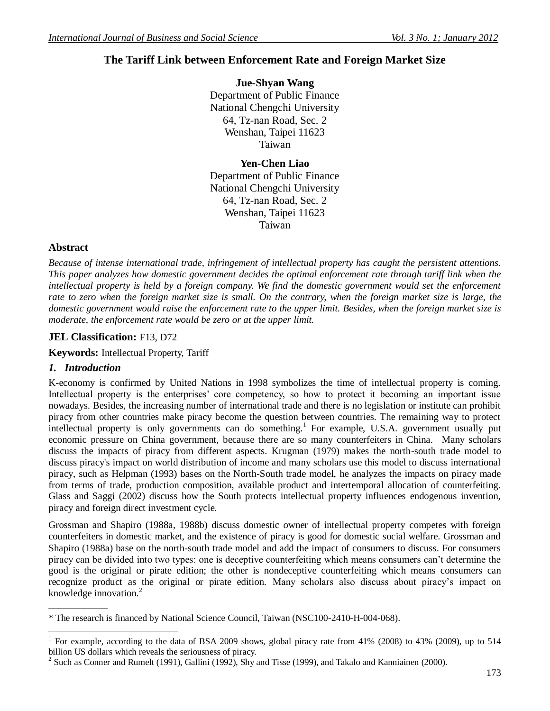# **The Tariff Link between Enforcement Rate and Foreign Market Size**

**Jue-Shyan Wang** Department of Public Finance National Chengchi University 64, Tz-nan Road, Sec. 2 Wenshan, Taipei 11623 Taiwan

**Yen-Chen Liao** Department of Public Finance National Chengchi University 64, Tz-nan Road, Sec. 2 Wenshan, Taipei 11623 Taiwan

# **Abstract**

*Because of intense international trade, infringement of intellectual property has caught the persistent attentions. This paper analyzes how domestic government decides the optimal enforcement rate through tariff link when the intellectual property is held by a foreign company. We find the domestic government would set the enforcement rate to zero when the foreign market size is small. On the contrary, when the foreign market size is large, the domestic government would raise the enforcement rate to the upper limit. Besides, when the foreign market size is moderate, the enforcement rate would be zero or at the upper limit.*

# **JEL Classification:** F13, D72

**Keywords:** Intellectual Property, Tariff

# *1. Introduction*

\_\_\_\_\_\_\_\_\_\_\_\_

K-economy is confirmed by United Nations in 1998 symbolizes the time of intellectual property is coming. Intellectual property is the enterprises' core competency, so how to protect it becoming an important issue nowadays. Besides, the increasing number of international trade and there is no legislation or institute can prohibit piracy from other countries make piracy become the question between countries. The remaining way to protect intellectual property is only governments can do something.<sup>1</sup> For example, U.S.A. government usually put economic pressure on China government, because there are so many counterfeiters in China. Many scholars discuss the impacts of piracy from different aspects. Krugman (1979) makes the north-south trade model to discuss piracy's impact on world distribution of income and many scholars use this model to discuss international piracy, such as Helpman (1993) bases on the North-South trade model, he analyzes the impacts on piracy made from terms of trade, production composition, available product and intertemporal allocation of counterfeiting. Glass and Saggi (2002) discuss how the South protects intellectual property influences endogenous invention, piracy and foreign direct investment cycle.

Grossman and Shapiro (1988a, 1988b) discuss domestic owner of intellectual property competes with foreign counterfeiters in domestic market, and the existence of piracy is good for domestic social welfare. Grossman and Shapiro (1988a) base on the north-south trade model and add the impact of consumers to discuss. For consumers piracy can be divided into two types: one is deceptive counterfeiting which means consumers can't determine the good is the original or pirate edition; the other is nondeceptive counterfeiting which means consumers can recognize product as the original or pirate edition. Many scholars also discuss about piracy's impact on knowledge innovation. $2$ 

\* The research is financed by National Science Council, Taiwan (NSC100-2410-H-004-068).

 $\overline{a}$ 1 For example, according to the data of BSA 2009 shows, global piracy rate from 41% (2008) to 43% (2009), up to 514 billion US dollars which reveals the seriousness of piracy.

<sup>&</sup>lt;sup>2</sup> Such as Conner and Rumelt (1991), Gallini (1992), Shy and Tisse (1999), and Takalo and Kanniainen (2000).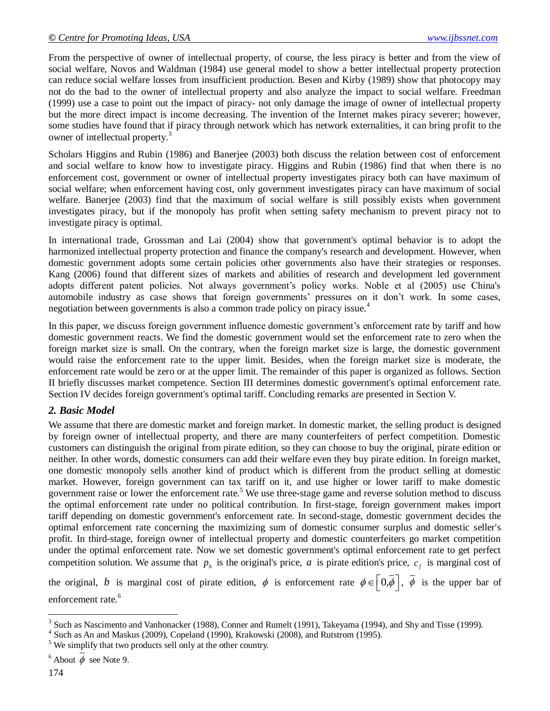From the perspective of owner of intellectual property, of course, the less piracy is better and from the view of social welfare, Novos and Waldman (1984) use general model to show a better intellectual property protection can reduce social welfare losses from insufficient production. Besen and Kirby (1989) show that photocopy may not do the bad to the owner of intellectual property and also analyze the impact to social welfare. Freedman (1999) use a case to point out the impact of piracy- not only damage the image of owner of intellectual property but the more direct impact is income decreasing. The invention of the Internet makes piracy severer; however, some studies have found that if piracy through network which has network externalities, it can bring profit to the owner of intellectual property.<sup>3</sup>

Scholars Higgins and Rubin (1986) and Banerjee (2003) both discuss the relation between cost of enforcement and social welfare to know how to investigate piracy. Higgins and Rubin (1986) find that when there is no enforcement cost, government or owner of intellectual property investigates piracy both can have maximum of social welfare; when enforcement having cost, only government investigates piracy can have maximum of social welfare. Banerjee (2003) find that the maximum of social welfare is still possibly exists when government investigates piracy, but if the monopoly has profit when setting safety mechanism to prevent piracy not to investigate piracy is optimal.

In international trade, Grossman and Lai (2004) show that government's optimal behavior is to adopt the harmonized intellectual property protection and finance the company's research and development. However, when domestic government adopts some certain policies other governments also have their strategies or responses. Kang (2006) found that different sizes of markets and abilities of research and development led government adopts different patent policies. Not always government's policy works. Noble et al (2005) use China's automobile industry as case shows that foreign governments' pressures on it don't work. In some cases, negotiation between governments is also a common trade policy on piracy issue.<sup>4</sup>

In this paper, we discuss foreign government influence domestic government's enforcement rate by tariff and how domestic government reacts. We find the domestic government would set the enforcement rate to zero when the foreign market size is small. On the contrary, when the foreign market size is large, the domestic government would raise the enforcement rate to the upper limit. Besides, when the foreign market size is moderate, the enforcement rate would be zero or at the upper limit. The remainder of this paper is organized as follows. Section II briefly discusses market competence. Section III determines domestic government's optimal enforcement rate. Section IV decides foreign government's optimal tariff. Concluding remarks are presented in Section V.

# *2. Basic Model*

We assume that there are domestic market and foreign market. In domestic market, the selling product is designed by foreign owner of intellectual property, and there are many counterfeiters of perfect competition. Domestic customers can distinguish the original from pirate edition, so they can choose to buy the original, pirate edition or neither. In other words, domestic consumers can add their welfare even they buy pirate edition. In foreign market, one domestic monopoly sells another kind of product which is different from the product selling at domestic market. However, foreign government can tax tariff on it, and use higher or lower tariff to make domestic government raise or lower the enforcement rate.<sup>5</sup> We use three-stage game and reverse solution method to discuss the optimal enforcement rate under no political contribution. In first-stage, foreign government makes import tariff depending on domestic government's enforcement rate. In second-stage, domestic government decides the optimal enforcement rate concerning the maximizing sum of domestic consumer surplus and domestic seller's profit. In third-stage, foreign owner of intellectual property and domestic counterfeiters go market competition under the optimal enforcement rate. Now we set domestic government's optimal enforcement rate to get perfect competition solution. We assume that  $p_h$  is the original's price, a is pirate edition's price,  $c_f$  is marginal cost of

the original, *b* is marginal cost of pirate edition,  $\phi$  is enforcement rate  $\phi \in \left[0, \phi\right]$ ,  $\phi$  is the upper bar of enforcement rate.<sup>6</sup>

 $\overline{a}$  $3$  Such as Nascimento and Vanhonacker (1988), Conner and Rumelt (1991), Takeyama (1994), and Shy and Tisse (1999).

<sup>4</sup> Such as An and Maskus (2009), Copeland (1990), Krakowski (2008), and Rutstrom (1995).

<sup>&</sup>lt;sup>5</sup> We simplify that two products sell only at the other country.

<sup>&</sup>lt;sup>6</sup> About  $\phi$  see Note 9.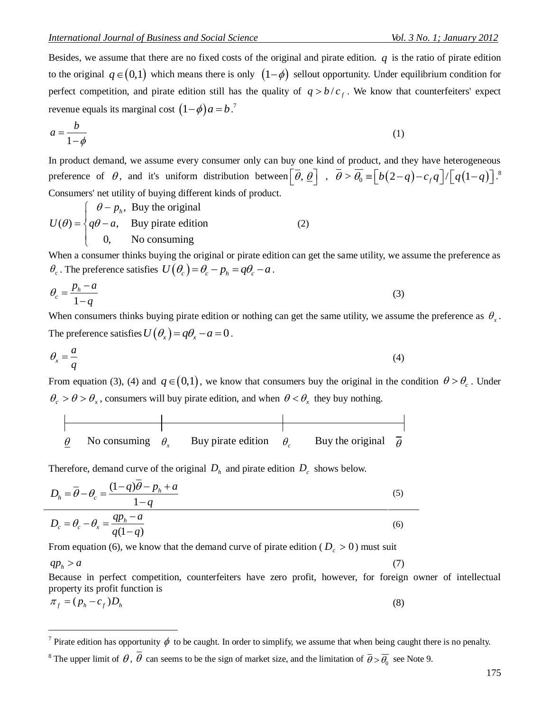(1)

(7)

Besides, we assume that there are no fixed costs of the original and pirate edition.  $q$  is the ratio of pirate edition to the original  $q \in (0,1)$  which means there is only  $(1-\phi)$  sellout opportunity. Under equilibrium condition for perfect competition, and pirate edition still has the quality of  $q > b/c<sub>f</sub>$ . We know that counterfeiters' expect revenue equals its marginal cost  $(1-\phi)a = b$ .<sup>7</sup>

$$
a = \frac{b}{1 - \phi}
$$

In product demand, we assume every consumer only can buy one kind of product, and they have heterogeneous In product demand, we assume every consumer only can buy one kind of product, and they have heterogeneous preference of  $\theta$ , and it's uniform distribution between  $\left[\overline{\theta}, \underline{\theta}\right]$ ,  $\overline{\theta} > \overline{\theta_0} = \left[b(2-q)-c_f q\right]/\left[q(1-q)\right$ . 8 Consumers' net utility of buying different kinds of product.

 $\int$   $\theta - p_h$ , Buy the original  $(\theta) = \begin{cases} \theta - p_h, & \text{buy the original} \\ q\theta - a, & \text{buy private edition} \end{cases}$  $-a$ , Buy pirate edit<br>0, No consuming  $U(\theta) = \begin{cases} \theta - p_i \\ q\theta - a, \end{cases}$  $\overline{ }$  $=\begin{cases} \theta-p_h, \\ q\theta-a, \end{cases}$  $\overline{1}$  $\overline{\mathcal{L}}$ (2)

When a consumer thinks buying the original or pirate edition can get the same utility, we assume the preference as when a consumer thinks onlying the original of phate can<br> $\theta_c$ . The preference satisfies  $U(\theta_c) = \theta_c - p_h = q\theta_c - a$ .

$$
\theta_c = \frac{p_h - a}{1 - q} \tag{3}
$$

When consumers thinks buying pirate edition or nothing can get the same utility, we assume the preference as  $\theta_x$ . The preference satisfies  $U(\theta_x) = q\theta_x - a = 0$ .

$$
\theta_x = \frac{a}{q} \tag{4}
$$

From equation (3), (4) and  $q \in (0,1)$ , we know that consumers buy the original in the condition  $\theta > \theta_c$ . Under  $\theta_c > \theta > \theta_x$ , consumers will buy pirate edition, and when  $\theta < \theta_x$  they buy nothing.

| No consuming $\theta$ . | Buy pirate edition | Buy the original |  |
|-------------------------|--------------------|------------------|--|

Therefore, demand curve of the original  $D_h$  and pirate edition  $D_c$  shows below.

$$
D_h = \overline{\theta} - \theta_c = \frac{(1-q)\overline{\theta} - p_h + a}{1-q}
$$
  
\n
$$
D_c = \theta_c - \theta_x = \frac{qp_h - a}{q(1-q)}
$$
 (6)

From equation (6), we know that the demand curve of pirate edition ( $D_c > 0$ ) must suit

 $qp_h > a$ 

 $\overline{a}$ 

Because in perfect competition, counterfeiters have zero profit, however, for foreign owner of intellectual property its profit function is

$$
\pi_f = (p_h - c_f)D_h \tag{8}
$$

<sup>7</sup> Pirate edition has opportunity  $\phi$  to be caught. In order to simplify, we assume that when being caught there is no penalty.

<sup>&</sup>lt;sup>8</sup> The upper limit of  $\theta$ ,  $\theta$  can seems to be the sign of market size, and the limitation of  $\bar{\theta} > \bar{\theta}_0$  see Note 9.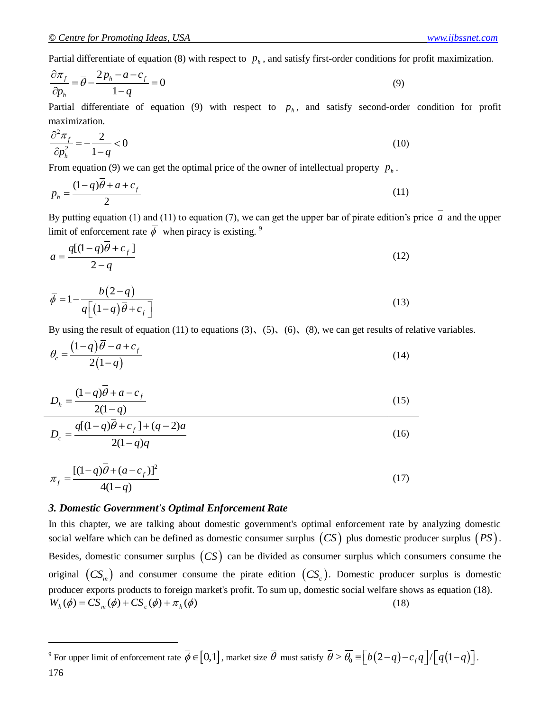Partial differentiate of equation (8) with respect to  $p<sub>h</sub>$ , and satisfy first-order conditions for profit maximization.

$$
\frac{\partial \pi_f}{\partial p_h} = \overline{\theta} - \frac{2p_h - a - c_f}{1 - q} = 0
$$
\n(9)

Partial differentiate of equation (9) with respect to  $p_h$ , and satisfy second-order condition for profit maximization.

$$
\frac{\partial^2 \pi_f}{\partial p_h^2} = -\frac{2}{1-q} < 0 \tag{10}
$$

From equation (9) we can get the optimal price of the owner of intellectual property  $p_h$ .

$$
p_h = \frac{(1-q)\overline{\theta} + a + c_f}{2} \tag{11}
$$

By putting equation  $(1)$  and  $(11)$  to equation  $(7)$ , we can get the upper bar of pirate edition's price  $a$  and the upper limit of enforcement rate  $\overline{\phi}$  when piracy is existing.<sup>9</sup>

$$
\bar{a} = \frac{q[(1-q)\bar{\theta} + c_f]}{2-q}
$$
\n(12)

$$
\overline{\phi} = 1 - \frac{b(2-q)}{q\left[ (1-q)\overline{\theta} + c_f \right]}
$$
(13)

By using the result of equation (11) to equations (3), (5), (6), (8), we can get results of relative variables.

$$
\theta_c = \frac{\left(1-q\right)\overline{\theta} - a + c_f}{2\left(1-q\right)}\tag{14}
$$

$$
D_h = \frac{(1-q)\theta + a - c_f}{2(1-q)}
$$
(15)

$$
D_c = \frac{q[(1-q)\overline{\theta} + c_f] + (q-2)a}{2(1-q)q}
$$
\n(16)

$$
\pi_f = \frac{[(1-q)\overline{\theta} + (a-c_f)]^2}{4(1-q)}
$$
\n(17)

#### *3. Domestic Government's Optimal Enforcement Rate*

In this chapter, we are talking about domestic government's optimal enforcement rate by analyzing domestic social welfare which can be defined as domestic consumer surplus  $(CS)$  plus domestic producer surplus  $(PS)$ . Besides, domestic consumer surplus  $(CS)$  can be divided as consumer surplus which consumers consume the original  $(CS_m)$  and consumer consume the pirate edition  $(CS_c)$ . Domestic producer surplus is domestic producer exports products to foreign market's profit. To sum up, domestic social welfare shows as equation (18).  $W_h(\phi) = CS_m(\phi) + CS_c(\phi) + \pi_h(\phi)$ (18)

<sup>9</sup> For upper limit of enforcement rate  $\overline{\phi} \in [0,1]$ , market size  $\overline{\theta}$  must satisfy  $\overline{\theta} > \overline{\theta_0} = \left[b(2-q)-c_f q\right]/\left[q(1-q)\right]$ .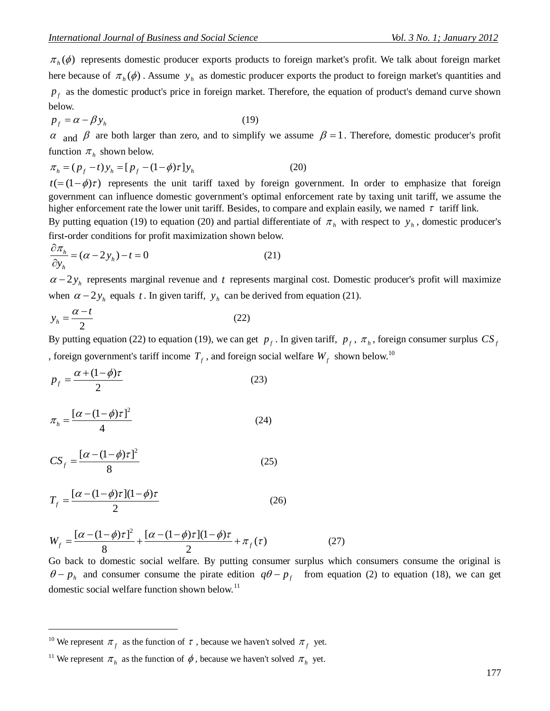$\pi_1(b)$  represents denoted product reports product a foreign matter's profit.<br>  $\pi_2(b)$  reports denoted product prior is one include the foreign matter. The calibration of product is equal to the about frequenties in the  $\pi_h(\phi)$  represents domestic producer exports products to foreign market's profit. We talk about foreign market here because of  $\pi_h(\phi)$ . Assume  $y_h$  as domestic producer exports the product to foreign market's quantities and  $p_f$  as the domestic product's price in foreign market. Therefore, the equation of product's demand curve shown below.

$$
p_f = \alpha - \beta y_h \tag{19}
$$

 $\alpha$  and  $\beta$  are both larger than zero, and to simplify we assume  $\beta = 1$ . Therefore, domestic producer's profit

function 
$$
\pi_h
$$
 shown below.  
\n
$$
\pi_h = (p_f - t) y_h = [p_f - (1 - \phi)\tau] y_h
$$
\n(20)

 $t = (1 - \phi)\tau$ ) represents the unit tariff taxed by foreign government. In order to emphasize that foreign government can influence domestic government's optimal enforcement rate by taxing unit tariff, we assume the higher enforcement rate the lower unit tariff. Besides, to compare and explain easily, we named  $\tau$  tariff link.

By putting equation (19) to equation (20) and partial differentiate of  $\pi_h$  with respect to  $y_h$ , domestic producer's first-order conditions for profit maximization shown below.

$$
\frac{\partial \pi_h}{\partial y_h} = (\alpha - 2y_h) - t = 0 \tag{21}
$$

 $\alpha - 2y_h$  represents marginal revenue and t represents marginal cost. Domestic producer's profit will maximize when  $\alpha - 2y_h$  equals t. In given tariff,  $y_h$  can be derived from equation (21).

$$
y_h = \frac{\alpha - t}{2} \tag{22}
$$

By putting equation (22) to equation (19), we can get  $p_f$ . In given tariff,  $p_f$ ,  $\pi_h$ , foreign consumer surplus  $CS_f$ , foreign government's tariff income  $T_f$  , and foreign social welfare  $W_f$  shown below.<sup>10</sup>

$$
p_f = \frac{\alpha + (1 - \phi)\tau}{2} \tag{23}
$$

$$
\pi_h = \frac{\left[\alpha - (1 - \phi)\tau\right]^2}{4} \tag{24}
$$

$$
CS_f = \frac{\left[\alpha - (1 - \phi)\tau\right]^2}{8} \tag{25}
$$

$$
T_f = \frac{[\alpha - (1 - \phi)\tau](1 - \phi)\tau}{2} \tag{26}
$$

$$
W_f = \frac{[\alpha - (1 - \phi)\tau]^2}{8} + \frac{[\alpha - (1 - \phi)\tau](1 - \phi)\tau}{2} + \pi_f(\tau)
$$
 (27)  
Go back to domestic social welfare. By putting consumer surplus which consumers consume the original is

 $\theta - p_h$  and consumer consume the pirate edition  $q\theta - p_f$  from equation (2) to equation (18), we can get domestic social welfare function shown below.<sup>11</sup>

<sup>&</sup>lt;sup>10</sup> We represent  $\pi_f$  as the function of  $\tau$ , because we haven't solved  $\pi_f$  yet.

<sup>&</sup>lt;sup>11</sup> We represent  $\pi_h$  as the function of  $\phi$ , because we haven't solved  $\pi_h$  yet.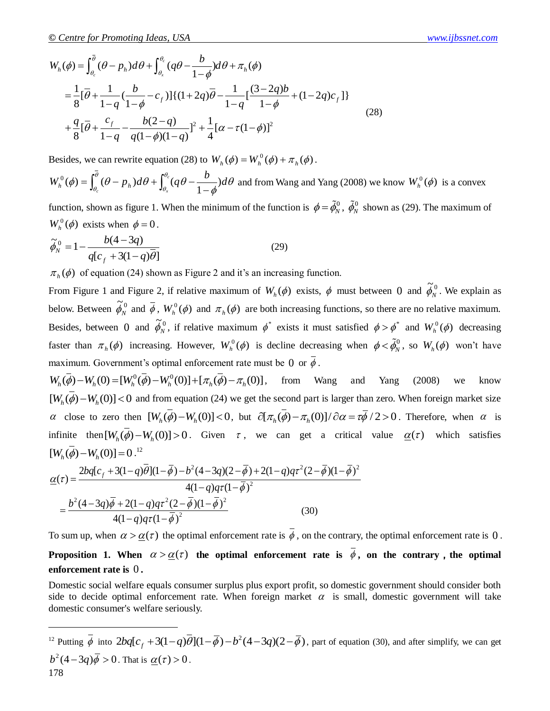Q. Centre for Promoting ideas, USA  
\n
$$
W_n(\phi) = \int_{\phi_0}^{\phi_0} (\theta - p_n) d\theta + \int_{\phi_0}^{\phi_0} (q\theta - \frac{b}{1-\phi}) d\theta + \pi_n(\phi)
$$
\n
$$
= \frac{1}{8} [\overline{\theta} + \frac{1}{1-q} (\frac{b}{1-\phi} - c_r)][(1+2q)\overline{\theta} - \frac{1}{1-q} (\frac{(3-2q)b}{1-\phi} + (1-2q)c_r])
$$
\n
$$
+ \frac{q}{8} [\overline{\theta} + \frac{c_r}{1-q} - \frac{b(2-q)}{q(1-\phi)(1-q)})^2 + \frac{1}{4} [\alpha - \tau(1-\phi)]^2
$$
\nBesides, we can rewrite equation (28) to  $W_n(\phi) = W_n^0(\phi) + \pi_n(\phi)$ .

\n $W_n^0(\phi) = \int_{\phi_0}^{\phi_0} (\theta - p_n) d\theta + \int_{\phi_0}^{\phi_0} (q\theta - \frac{b}{1-\phi}) d\theta$  and from Wang and Yang (2008) we know  $W_n^0(\phi)$  is a convex function, shown as figure 1. When the minimum of the function is  $\phi = \tilde{\phi}_n^0$ ,  $\tilde{\phi}_n^0$  shown as (29). The maximum of  $W_n^0(\phi)$  exists when  $\phi = 0$ .

\n $\tilde{\phi}_n^0 = 1 - \frac{b(4-3q)}{q(c_r + 3(1-q)\theta)}$ 

\n $\pi_n(\phi)$  of equation (24) shown as Figure 2 and it's an increasing function.

\nHow, Reuven,  $\tilde{\phi}_n^0$  and Figure 2, it relative maximum  $W_n(\phi)$  exists, if must between 0 and  $\tilde{\phi}_n^0$ . We explain a below. Between 0 and  $\tilde{\phi}_n^0$ , if the above, we can use  $\tilde{\phi}_n^0$  and  $\tilde{\phi}_n^0$  and  $W_n^0(\phi)$  decreasing, however,  $W_n^0(\phi)$  is declined, however,  $W_n(\phi)$  and  $\tilde{\phi}_n^0$ . We explain a known as Figure 2 and it's an increasing function.

\nHow,  $W_n(\phi) = W_n(\phi$ 

Besides, we can rewrite equation (28) to  $W_h(\phi) = W_h^0(\phi) + \pi_h(\phi)$ .

$$
W_h^0(\phi) = \int_{\theta_c}^{\overline{\theta}} (\theta - p_h) d\theta + \int_{\theta_x}^{\theta_c} (q\theta - \frac{b}{1 - \phi}) d\theta
$$
 and from Wang and Yang (2008) we know  $W_h^0(\phi)$  is a convex

function, shown as figure 1. When the minimum of the function is  $\phi = \tilde{\phi}_N^0$ ,  $\tilde{\phi}_N^0$  shown as (29). The maximum of  $W_h^0(\phi)$  exists when  $\phi = 0$ .

$$
\widetilde{\phi}_N^0 = 1 - \frac{b(4 - 3q)}{q[c_f + 3(1 - q)\overline{\theta}]}
$$
\n(29)

 $\pi_h(\phi)$  of equation (24) shown as Figure 2 and it's an increasing function.

From Figure 1 and Figure 2, if relative maximum of  $W_h(\phi)$  exists,  $\phi$  must between 0 and  $\tilde{\phi}_N^0$  $\phi_N^0$ . We explain as below. Between  $\widetilde{\phi}_{N}^{0}$  $\tilde{\phi}_N^0$  and  $\bar{\phi}$ ,  $W_h^0(\phi)$  and  $\pi_h(\phi)$  are both increasing functions, so there are no relative maximum. Besides, between 0 and  $\tilde{\phi}_N^0$  $\tilde{\phi}_N^0$ , if relative maximum  $\phi^*$  exists it must satisfied  $\phi > \phi^*$  and  $W_h^0(\phi)$  decreasing faster than  $\pi_h(\phi)$  increasing. However,  $W_h^0(\phi)$  is decline decreasing when  $\phi < \tilde{\phi}_N^0$ , so  $W_h(\phi)$  won't have maximum. Government's optimal enforcement rate must be 0 or  $\phi$ . maximum. Government's optimal enforcement rate must be 0 or  $\overline{\phi}$ .<br>  $W_h(\overline{\phi}) - W_h(0) = [W_h^0(\overline{\phi}) - W_h^0(0)] + [\pi_h(\overline{\phi}) - \pi_h(0)]$ , from Wang and Yang (2008) we know

 $[W_h(\vec{\phi}) - W_h(0)] < 0$  and from equation (24) we get the second part is larger than zero. When foreign market size  $(\alpha_k(\varphi) - w_h(\varphi)) < 0$  and from equation (24) we get the second part is larger than zero. When foreign market size  $\alpha$  close to zero then  $[W_h(\vec{\phi}) - W_h(0)] < 0$ , but  $\partial [\pi_h(\vec{\phi}) - \pi_h(0)] / \partial \alpha = \tau \vec{\phi} / 2 > 0$ . Therefore, when  $\alpha$  infinite then  $[W_h(\vec{\phi}) - W_h(0)] > 0$ . Given  $\tau$ , we can get a critical value  $\underline{\alpha}(\tau)$  which satisfies  $[W_h(\vec{\phi}) - W_h(0)] = 0$ .<sup>12</sup><br> $\underline{\alpha}(\tau) = \frac{2bq[c_f + 3(1-q)\overline{\theta}](1-\overline{\phi}) - b^2(4-3q)(2-\overline{\phi}) + 2(1-q)q\tau^2(2-\overline{\phi})(1-\overline{\phi})^2}{4(1-q)\tau^2($  $[W_h(\overline{\phi}) - W_h(0)] = 0$ .<sup>12</sup>  $^{2}(4-3q)(2-\bar{\phi})+2(1-q)q\tau^{2}(2-\bar{\phi})(1-\bar{\phi})^{2}$ 

$$
[W_h(\vec{\phi}) - W_h(0)] = 0.^{12}
$$
  
\n
$$
\underline{\alpha}(\tau) = \frac{2bq[c_f + 3(1-q)\overline{\theta}](1-\overline{\phi}) - b^2(4-3q)(2-\overline{\phi}) + 2(1-q)q\tau^2(2-\overline{\phi})(1-\overline{\phi})^2}{4(1-q)q\tau(1-\overline{\phi})^2}
$$
  
\n
$$
= \frac{b^2(4-3q)\overline{\phi} + 2(1-q)q\tau^2(2-\overline{\phi})(1-\overline{\phi})^2}{4(1-q)q\tau(1-\overline{\phi})^2}
$$
(30)

 $\overline{a}$ 

To sum up, when  $\alpha > \alpha(\tau)$  the optimal enforcement rate is  $\phi$ , on the contrary, the optimal enforcement rate is 0. **Proposition 1.** When  $\alpha > \alpha(\tau)$  the optimal enforcement rate is  $\phi$ , on the contrary, the optimal **enforcement rate is**  0 **.**

Domestic social welfare equals consumer surplus plus export profit, so domestic government should consider both side to decide optimal enforcement rate. When foreign market  $\alpha$  is small, domestic government will take domestic consumer's welfare seriously.

<sup>12</sup> Putting 
$$
\overline{\phi}
$$
 into  $2bq[c_f + 3(1-q)\overline{\theta}](1-\overline{\phi}) - b^2(4-3q)(2-\overline{\phi})$ , part of equation (30), and after simplify, we can get  $b^2(4-3q)\overline{\phi} > 0$ . That is  $\underline{\alpha}(\tau) > 0$ .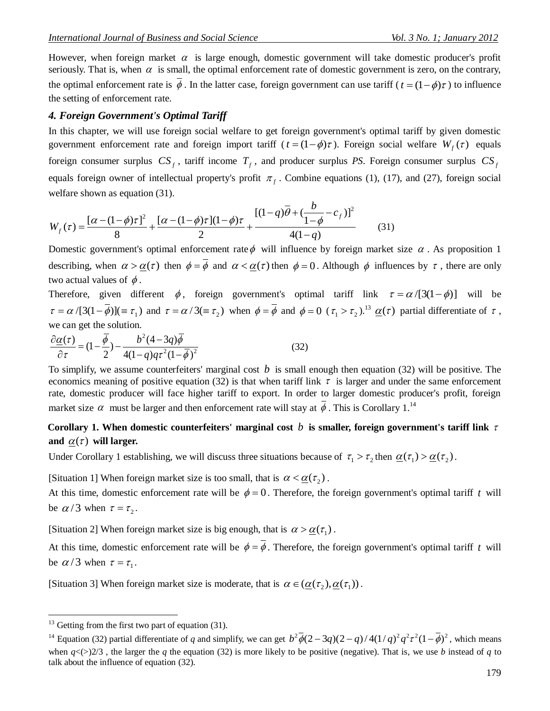However, when foreign market  $\alpha$  is large enough, domestic government will take domestic producer's profit seriously. That is, when  $\alpha$  is small, the optimal enforcement rate of domestic government is zero, on the contrary, the optimal enforcement rate is  $\phi$ . In the latter case, foreign government can use tariff  $(t = (1 - \phi)\tau)$  to influence the setting of enforcement rate.

#### *4. Foreign Government's Optimal Tariff*

In this chapter, we will use foreign social welfare to get foreign government's optimal tariff by given domestic government enforcement rate and foreign import tariff  $(t = (1 - \phi)\tau)$ . Foreign social welfare  $W_f(\tau)$  equals foreign consumer surplus  $CS_f$ , tariff income  $T_f$ , and producer surplus *PS*. Foreign consumer surplus  $CS_f$ equals foreign owner of intellectual property's profit  $\pi_f$ . Combine equations (1), (17), and (27), foreign social welfare shown as equation (31).<br>  $[\alpha - (1 - \phi)\tau]^2$   $[\alpha - (1 - \phi)\tau](1 - \phi)\tau$   $[(1 - q)\overline{\theta} + (\frac{b}{1 - \phi} - c_f)]^2$ 

welfare shown as equation (31).  
\n
$$
W_f(\tau) = \frac{[\alpha - (1 - \phi)\tau]^2}{8} + \frac{[\alpha - (1 - \phi)\tau](1 - \phi)\tau}{2} + \frac{[(1 - q)\overline{\theta} + (\frac{b}{1 - \phi} - c_f)]^2}{4(1 - q)}
$$
\n(31)  
\nDomestic government's optimal enforcement rate  $\phi$  will influence by foreign market size  $\alpha$ . As proposition 1

describing, when  $\alpha > \underline{\alpha}(\tau)$  then  $\phi = \phi$  and  $\alpha < \underline{\alpha}(\tau)$  then  $\phi = 0$ . Although  $\phi$  influences by  $\tau$ , there are only two actual values of  $\phi$ .

Therefore, given different  $\phi$ , foreign government's optimal tariff link  $\tau = \alpha/[3(1-\phi)]$  will be  $\tau = \alpha/[3(1-\phi)] (\equiv \tau_1)$  and  $\tau = \alpha/3(\equiv \tau_2)$  when  $\phi = \phi$  and  $\phi = 0$  ( $\tau_1 > \tau_2$ ).<sup>13</sup>  $\underline{\alpha}(\tau)$  partial differentiate of  $\tau$ ,

we can get the solution.  
\n
$$
\frac{\partial \underline{\alpha}(\tau)}{\partial \tau} = (1 - \frac{\overline{\phi}}{2}) - \frac{b^2 (4 - 3q) \overline{\phi}}{4(1 - q)q \tau^2 (1 - \overline{\phi})^2}
$$
\n(32)

To simplify, we assume counterfeiters' marginal cost  $b$  is small enough then equation (32) will be positive. The economics meaning of positive equation (32) is that when tariff link  $\tau$  is larger and under the same enforcement rate, domestic producer will face higher tariff to export. In order to larger domestic producer's profit, foreign market size  $\alpha$  must be larger and then enforcement rate will stay at  $\overline{\phi}$ . This is Corollary 1.<sup>14</sup>

# Corollary 1. When domestic counterfeiters' marginal cost  $b$  is smaller, foreign government's tariff link  $\tau$ and  $\underline{\alpha}(\tau)$  will larger.

Under Corollary 1 establishing, we will discuss three situations because of  $\tau_1 > \tau_2$  then  $\underline{\alpha}(\tau_1) > \underline{\alpha}(\tau_2)$ .

[Situation 1] When foreign market size is too small, that is  $\alpha < \underline{\alpha}(\tau_2)$ .

At this time, domestic enforcement rate will be  $\phi = 0$ . Therefore, the foreign government's optimal tariff t will be  $\alpha/3$  when  $\tau = \tau_2$ .

[Situation 2] When foreign market size is big enough, that is  $\alpha > \underline{\alpha}(\tau_1)$ .

At this time, domestic enforcement rate will be  $\phi = \phi$ . Therefore, the foreign government's optimal tariff t will be  $\alpha/3$  when  $\tau = \tau_1$ .

[Situation 3] When foreign market size is moderate, that is  $\alpha \in (\underline{\alpha}(\tau_2), \underline{\alpha}(\tau_1))$ .

 $13$  Getting from the first two part of equation (31).

<sup>&</sup>lt;sup>13</sup> Getting from the first two part of equation (31).<br><sup>14</sup> Equation (32) partial differentiate of *q* and simplify, we can get  $b^2\overline{\phi}(2-3q)(2-q)/4(1/q)^2q^2\tau^2(1-\overline{\phi})^2$ , which means when  $q \lt \gt{2/3}$ , the larger the *q* the equation (32) is more likely to be positive (negative). That is, we use *b* instead of *q* to talk about the influence of equation (32).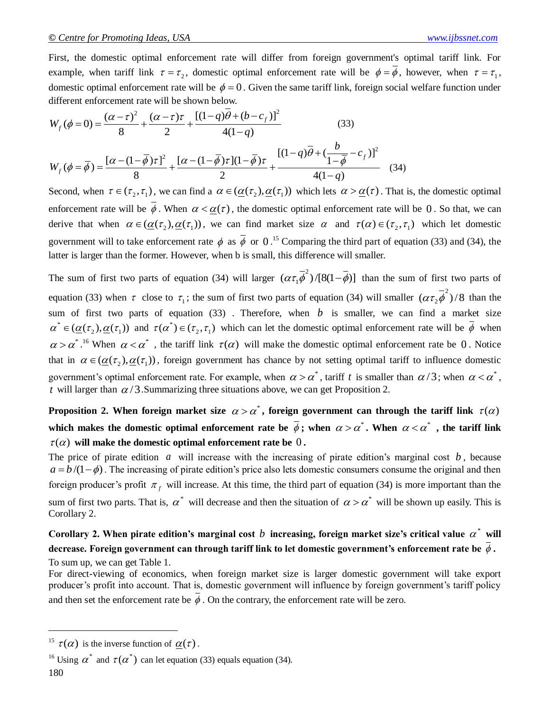First, the domestic optimal enforcement rate will differ from foreign government's optimal tariff link. For example, when tariff link  $\tau = \tau_2$ , domestic optimal enforcement rate will be  $\phi = \phi$ , however, when  $\tau = \tau_1$ , domestic optimal enforcement rate will be  $\phi = 0$ . Given the same tariff link, foreign social welfare function under different enforcement rate will be shown below.<br>  $W_s(\phi = 0) = \frac{(\alpha - \tau)^2}{\alpha + (\alpha - \tau)\tau} + \frac{[(1 - q)\theta + (b - c_f)]^2}{\alpha +$ different enforcement rate will be shown below.

domestic optimal enforcement rate will be 
$$
\phi = 0
$$
. Given the same tariff link, foreign social welfare function under  
\ndifferent enforcement rate will be shown below.  
\n
$$
W_f(\phi = 0) = \frac{(\alpha - \tau)^2}{8} + \frac{(\alpha - \tau)\tau}{2} + \frac{[(1 - q)\theta + (b - c_f)]^2}{4(1 - q)}
$$
\n
$$
W_f(\phi = \overline{\phi}) = \frac{[\alpha - (1 - \overline{\phi})\tau]^2}{8} + \frac{[\alpha - (1 - \overline{\phi})\tau](1 - \overline{\phi})\tau}{2} + \frac{[(1 - q)\overline{\theta} + (\frac{b}{1 - \overline{\phi}} - c_f)]^2}{4(1 - q)}
$$
\nSecond, when  $\tau \in (\tau_2, \tau_1)$ , we can find a  $\alpha \in (\underline{\alpha}(\tau_2), \underline{\alpha}(\tau_1))$  which lets  $\alpha > \underline{\alpha}(\tau)$ . That is, the domestic optimal

enforcement rate will be  $\phi$ . When  $\alpha < \underline{\alpha}(\tau)$ , the domestic optimal enforcement rate will be 0. So that, we can derive that when  $\alpha \in (\underline{\alpha}(\tau_1), \underline{\alpha}(\tau_1))$ , we can find market size  $\alpha$  and  $\tau(\alpha) \in (\tau_2, \tau_1)$  which let domestic government will to take enforcement rate  $\phi$  as  $\overline{\phi}$  or 0.<sup>15</sup> Comparing the third part of equation (33) and (34), the latter is larger than the former. However, when b is small, this difference will smaller.

The sum of first two parts of equation (34) will larger  $(\alpha \tau_1 \vec{\phi}^2)$  $(\alpha \tau_1 \overrightarrow{\phi}^2)/[8(1-\overrightarrow{\phi})]$  than the sum of first two parts of equation (33) when  $\tau$  close to  $\tau_1$ ; the sum of first two parts of equation (34) will smaller  $(\alpha \tau_2 \overline{\phi}^2)$  $(\alpha \tau_2 \phi^2)/8$  than the sum of first two parts of equation  $(33)$ . Therefore, when  $b$  is smaller, we can find a market size  $\alpha^* \in (\underline{\alpha}(\tau_1), \underline{\alpha}(\tau_1))$  and  $\tau(\alpha^*) \in (\tau_2, \tau_1)$  which can let the domestic optimal enforcement rate will be  $\overline{\phi}$  when  $\alpha > \alpha^*$ .<sup>16</sup> When  $\alpha < \alpha^*$ , the tariff link  $\tau(\alpha)$  will make the domestic optimal enforcement rate be 0. Notice that in  $\alpha \in (\underline{\alpha}(\tau_1), \underline{\alpha}(\tau_1))$ , foreign government has chance by not setting optimal tariff to influence domestic government's optimal enforcement rate. For example, when  $\alpha > \alpha^*$ , tariff t is smaller than  $\alpha/3$ ; when  $\alpha < \alpha^*$ , *t* will larger than  $\alpha/3$ . Summarizing three situations above, we can get Proposition 2.

**Proposition 2.** When foreign market size  $\alpha > \alpha^*$ , foreign government can through the tariff link  $\tau(\alpha)$ which makes the domestic optimal enforcement rate be  $\phi$ ; when  $\alpha > \alpha^*$ . When  $\alpha < \alpha^*$  , the tariff link  $\tau(\alpha)$  will make the domestic optimal enforcement rate be  $0$ .

The price of pirate edition  $a$  will increase with the increasing of pirate edition's marginal cost  $b$ , because  $a = b/(1-\phi)$ . The increasing of pirate edition's price also lets domestic consumers consume the original and then foreign producer's profit  $\pi_f$  will increase. At this time, the third part of equation (34) is more important than the sum of first two parts. That is,  $\alpha^*$  will decrease and then the situation of  $\alpha > \alpha^*$  will be shown up easily. This is Corollary 2.

# Corollary 2. When pirate edition's marginal cost  $b$  increasing, foreign market size's critical value  $\alpha^*$  will **decrease. Foreign government can through tariff link to let domestic government's enforcement rate be .** To sum up, we can get Table 1.

For direct-viewing of economics, when foreign market size is larger domestic government will take export producer's profit into account. That is, domestic government will influence by foreign government's tariff policy and then set the enforcement rate be  $\phi$ . On the contrary, the enforcement rate will be zero.

<sup>&</sup>lt;sup>15</sup>  $\tau(\alpha)$  is the inverse function of  $\underline{\alpha}(\tau)$ .

<sup>&</sup>lt;sup>16</sup> Using  $\alpha^*$  and  $\tau(\alpha^*)$  can let equation (33) equals equation (34).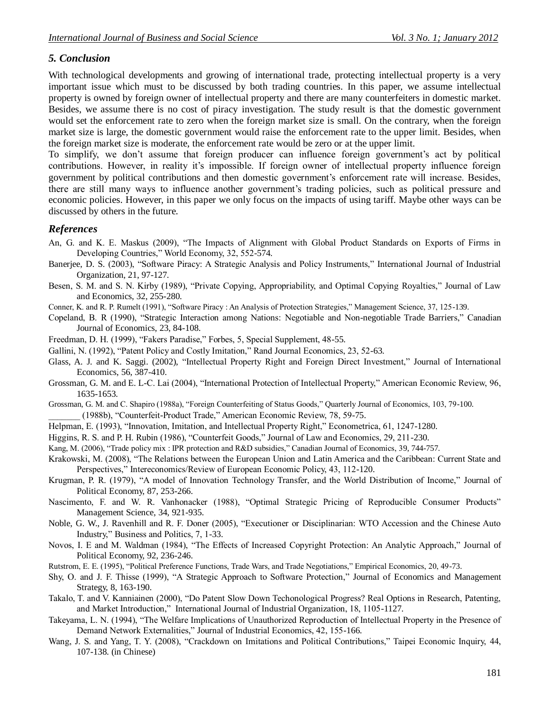# *5. Conclusion*

With technological developments and growing of international trade, protecting intellectual property is a very important issue which must to be discussed by both trading countries. In this paper, we assume intellectual property is owned by foreign owner of intellectual property and there are many counterfeiters in domestic market. Besides, we assume there is no cost of piracy investigation. The study result is that the domestic government would set the enforcement rate to zero when the foreign market size is small. On the contrary, when the foreign market size is large, the domestic government would raise the enforcement rate to the upper limit. Besides, when the foreign market size is moderate, the enforcement rate would be zero or at the upper limit.

To simplify, we don't assume that foreign producer can influence foreign government's act by political contributions. However, in reality it's impossible. If foreign owner of intellectual property influence foreign government by political contributions and then domestic government's enforcement rate will increase. Besides, there are still many ways to influence another government's trading policies, such as political pressure and economic policies. However, in this paper we only focus on the impacts of using tariff. Maybe other ways can be discussed by others in the future.

# *References*

- An, G. and K. E. Maskus (2009), "The Impacts of Alignment with Global Product Standards on Exports of Firms in Developing Countries," World Economy, 32, 552-574.
- Banerjee, D. S. (2003), "Software Piracy: A Strategic Analysis and Policy Instruments," International Journal of Industrial Organization, 21, 97-127.
- Besen, S. M. and S. N. Kirby (1989), "Private Copying, Appropriability, and Optimal Copying Royalties," Journal of Law and Economics, 32, 255-280.
- Conner, K. and R. P. Rumelt (1991), "Software Piracy : An Analysis of Protection Strategies," Management Science, 37, 125-139.
- Copeland, B. R (1990), "Strategic Interaction among Nations: Negotiable and Non-negotiable Trade Barriers," Canadian Journal of Economics, 23, 84-108.
- Freedman, D. H. (1999), "Fakers Paradise," Forbes, 5, Special Supplement, 48-55.
- Gallini, N. (1992), "Patent Policy and Costly Imitation," Rand Journal Economics, 23, 52-63.
- Glass, A. J. and K. Saggi. (2002), "Intellectual Property Right and Foreign Direct Investment," Journal of International Economics, 56, 387-410.
- Grossman, G. M. and E. L-C. Lai (2004), "International Protection of Intellectual Property," American Economic Review, 96, 1635-1653.
- Grossman, G. M. and C. Shapiro (1988a), "Foreign Counterfeiting of Status Goods," Quarterly Journal of Economics, 103, 79-100. \_\_\_\_\_\_\_ (1988b), "Counterfeit-Product Trade," American Economic Review, 78, 59-75.
- Helpman, E. (1993), "Innovation, Imitation, and Intellectual Property Right," Econometrica, 61, 1247-1280.
- Higgins, R. S. and P. H. Rubin (1986), "Counterfeit Goods," Journal of Law and Economics, 29, 211-230.
- Kang, M. (2006), "Trade policy mix : IPR protection and R&D subsidies," Canadian Journal of Economics, 39, 744-757.
- Krakowski, M. (2008), "The Relations between the European Union and Latin America and the Caribbean: Current State and Perspectives," Intereconomics/Review of European Economic Policy, 43, 112-120.
- Krugman, P. R. (1979), "A model of Innovation Technology Transfer, and the World Distribution of Income," Journal of Political Economy, 87, 253-266.
- Nascimento, F. and W. R. Vanhonacker (1988), "Optimal Strategic Pricing of Reproducible Consumer Products" Management Science, 34, 921-935.
- Noble, G. W., J. Ravenhill and R. F. Doner (2005), "Executioner or Disciplinarian: WTO Accession and the Chinese Auto Industry," Business and Politics, 7, 1-33.
- Novos, I. E and M. Waldman (1984), "The Effects of Increased Copyright Protection: An Analytic Approach," Journal of Political Economy, 92, 236-246.
- Rutstrom, E. E. (1995), "Political Preference Functions, Trade Wars, and Trade Negotiations," Empirical Economics, 20, 49-73.
- Shy, O. and J. F. Thisse (1999), "A Strategic Approach to Software Protection," Journal of Economics and Management Strategy, 8, 163-190.
- Takalo, T. and V. Kanniainen (2000), "Do Patent Slow Down Techonological Progress? Real Options in Research, Patenting, and Market Introduction," International Journal of Industrial Organization, 18, 1105-1127.
- Takeyama, L. N. (1994), "The Welfare Implications of Unauthorized Reproduction of Intellectual Property in the Presence of Demand Network Externalities," Journal of Industrial Economics, 42, 155-166.
- Wang, J. S. and Yang, T. Y. (2008), "Crackdown on Imitations and Political Contributions," Taipei Economic Inquiry, 44, 107-138. (in Chinese)